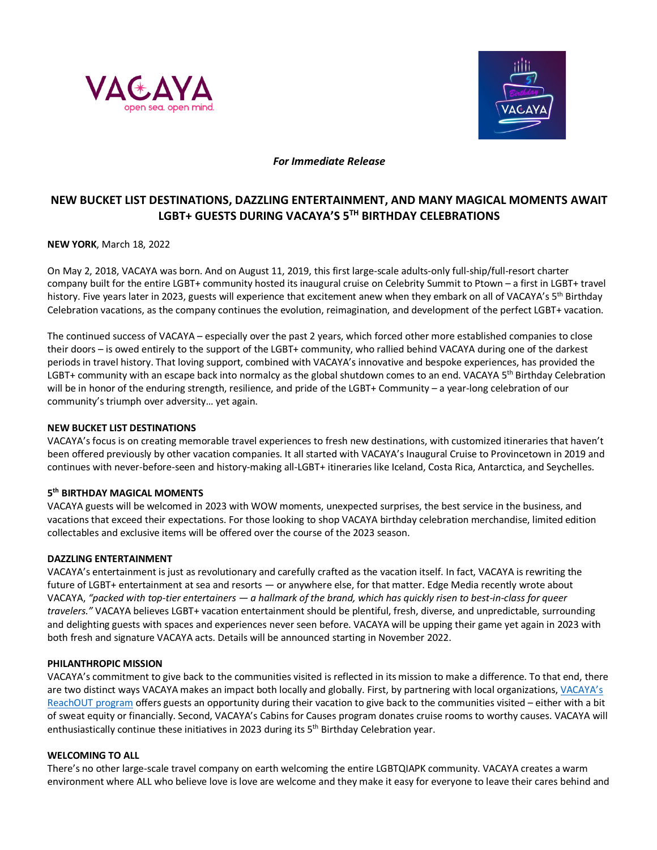



## *For Immediate Release*

# **NEW BUCKET LIST DESTINATIONS, DAZZLING ENTERTAINMENT, AND MANY MAGICAL MOMENTS AWAIT LGBT+ GUESTS DURING VACAYA'S 5TH BIRTHDAY CELEBRATIONS**

**NEW YORK**, March 18, 2022

On May 2, 2018, VACAYA was born. And on August 11, 2019, this first large-scale adults-only full-ship/full-resort charter company built for the entire LGBT+ community hosted its inaugural cruise on Celebrity Summit to Ptown – a first in LGBT+ travel history. Five years later in 2023, guests will experience that excitement anew when they embark on all of VACAYA's 5<sup>th</sup> Birthday Celebration vacations, as the company continues the evolution, reimagination, and development of the perfect LGBT+ vacation.

The continued success of VACAYA – especially over the past 2 years, which forced other more established companies to close their doors – is owed entirely to the support of the LGBT+ community, who rallied behind VACAYA during one of the darkest periods in travel history. That loving support, combined with VACAYA's innovative and bespoke experiences, has provided the LGBT+ community with an escape back into normalcy as the global shutdown comes to an end. VACAYA 5<sup>th</sup> Birthday Celebration will be in honor of the enduring strength, resilience, and pride of the LGBT+ Community – a year-long celebration of our community's triumph over adversity… yet again.

### **NEW BUCKET LIST DESTINATIONS**

VACAYA's focus is on creating memorable travel experiences to fresh new destinations, with customized itineraries that haven't been offered previously by other vacation companies. It all started with VACAYA's Inaugural Cruise to Provincetown in 2019 and continues with never-before-seen and history-making all-LGBT+ itineraries like Iceland, Costa Rica, Antarctica, and Seychelles.

### **5th BIRTHDAY MAGICAL MOMENTS**

VACAYA guests will be welcomed in 2023 with WOW moments, unexpected surprises, the best service in the business, and vacations that exceed their expectations. For those looking to shop VACAYA birthday celebration merchandise, limited edition collectables and exclusive items will be offered over the course of the 2023 season.

### **DAZZLING ENTERTAINMENT**

VACAYA's entertainment is just as revolutionary and carefully crafted as the vacation itself. In fact, VACAYA is rewriting the future of LGBT+ entertainment at sea and resorts — or anywhere else, for that matter. Edge Media recently wrote about VACAYA, *"packed with top-tier entertainers — a hallmark of the brand, which has quickly risen to best-in-class for queer travelers."* VACAYA believes LGBT+ vacation entertainment should be plentiful, fresh, diverse, and unpredictable, surrounding and delighting guests with spaces and experiences never seen before. VACAYA will be upping their game yet again in 2023 with both fresh and signature VACAYA acts. Details will be announced starting in November 2022.

### **PHILANTHROPIC MISSION**

VACAYA's commitment to give back to the communities visited is reflected in its mission to make a difference. To that end, there are two distinct ways VACAYA makes an impact both locally and globally. First, by partnering with local organizations, VACAYA's ReachOUT program offers guests an opportunity during their vacation to give back to the communities visited – either with a bit of sweat equity or financially. Second, VACAYA's Cabins for Causes program donates cruise rooms to worthy causes. VACAYA will enthusiastically continue these initiatives in 2023 during its 5<sup>th</sup> Birthday Celebration year.

## **WELCOMING TO ALL**

There's no other large-scale travel company on earth welcoming the entire LGBTQIAPK community. VACAYA creates a warm environment where ALL who believe love is love are welcome and they make it easy for everyone to leave their cares behind and